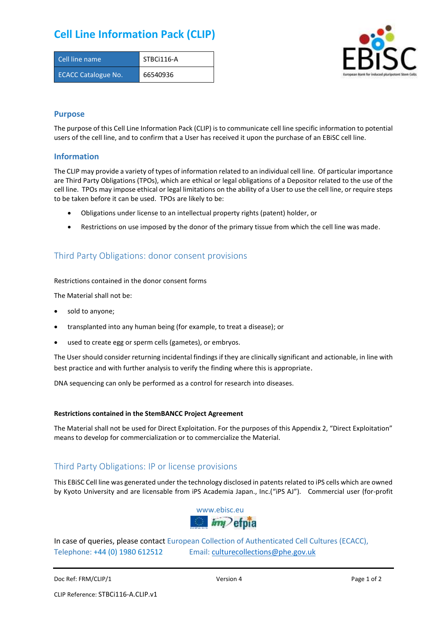# **Cell Line Information Pack (CLIP)**

| Cell line name             | STBCi116-A |
|----------------------------|------------|
| <b>ECACC Catalogue No.</b> | 66540936   |



### **Purpose**

The purpose of this Cell Line Information Pack (CLIP) is to communicate cell line specific information to potential users of the cell line, and to confirm that a User has received it upon the purchase of an EBiSC cell line.

### **Information**

The CLIP may provide a variety of types of information related to an individual cell line. Of particular importance are Third Party Obligations (TPOs), which are ethical or legal obligations of a Depositor related to the use of the cell line. TPOs may impose ethical or legal limitations on the ability of a User to use the cell line, or require steps to be taken before it can be used. TPOs are likely to be:

- Obligations under license to an intellectual property rights (patent) holder, or
- Restrictions on use imposed by the donor of the primary tissue from which the cell line was made.

## Third Party Obligations: donor consent provisions

#### Restrictions contained in the donor consent forms

The Material shall not be:

- sold to anyone;
- transplanted into any human being (for example, to treat a disease); or
- used to create egg or sperm cells (gametes), or embryos.

The User should consider returning incidental findings if they are clinically significant and actionable, in line with best practice and with further analysis to verify the finding where this is appropriate.

DNA sequencing can only be performed as a control for research into diseases.

#### **Restrictions contained in the StemBANCC Project Agreement**

The Material shall not be used for Direct Exploitation. For the purposes of this Appendix 2, "Direct Exploitation" means to develop for commercialization or to commercialize the Material.

## Third Party Obligations: IP or license provisions

This EBiSC Cell line was generated under the technology disclosed in patents related to iPS cells which are owned by Kyoto University and are licensable from iPS Academia Japan., Inc.("iPS AJ"). Commercial user (for-profit



In case of queries, please contact European Collection of Authenticated Cell Cultures (ECACC), Telephone: +44 (0) 1980 612512 Email: [culturecollections@phe.gov.uk](mailto:culturecollections@phe.gov.uk)

Doc Ref: FRM/CLIP/1 **Docessity** Version 4 **Page 1 of 2** Page 1 of 2